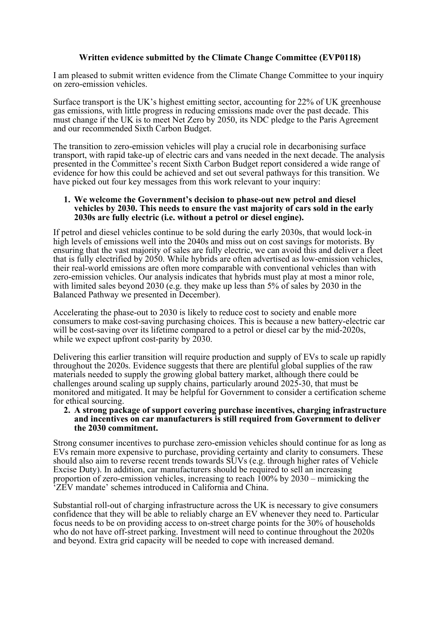## **Written evidence submitted by the Climate Change Committee (EVP0118)**

I am pleased to submit written evidence from the Climate Change Committee to your inquiry on zero-emission vehicles.

Surface transport is the UK's highest emitting sector, accounting for 22% of UK greenhouse gas emissions, with little progress in reducing emissions made over the past decade. This must change if the UK is to meet Net Zero by 2050, its NDC pledge to the Paris Agreement and our recommended Sixth Carbon Budget.

The transition to zero-emission vehicles will play a crucial role in decarbonising surface transport, with rapid take-up of electric cars and vans needed in the next decade. The analysis presented in the Committee's recent Sixth Carbon Budget report considered a wide range of evidence for how this could be achieved and set out several pathways for this transition. We have picked out four key messages from this work relevant to your inquiry:

#### **1. We welcome the Government's decision to phase-out new petrol and diesel vehicles by 2030. This needs to ensure the vast majority of cars sold in the early 2030s are fully electric (i.e. without a petrol or diesel engine).**

If petrol and diesel vehicles continue to be sold during the early 2030s, that would lock-in high levels of emissions well into the 2040s and miss out on cost savings for motorists. By ensuring that the vast majority of sales are fully electric, we can avoid this and deliver a fleet that is fully electrified by 2050. While hybrids are often advertised as low-emission vehicles, their real-world emissions are often more comparable with conventional vehicles than with zero-emission vehicles. Our analysis indicates that hybrids must play at most a minor role, with limited sales beyond 2030 (e.g. they make up less than 5% of sales by 2030 in the Balanced Pathway we presented in December).

Accelerating the phase-out to 2030 is likely to reduce cost to society and enable more consumers to make cost-saving purchasing choices. This is because a new battery-electric car will be cost-saving over its lifetime compared to a petrol or diesel car by the mid-2020s, while we expect upfront cost-parity by  $2030$ .

Delivering this earlier transition will require production and supply of EVs to scale up rapidly throughout the 2020s. Evidence suggests that there are plentiful global supplies of the raw materials needed to supply the growing global battery market, although there could be challenges around scaling up supply chains, particularly around 2025-30, that must be monitored and mitigated. It may be helpful for Government to consider a certification scheme for ethical sourcing.

#### **2. A strong package of support covering purchase incentives, charging infrastructure and incentives on car manufacturers is still required from Government to deliver the 2030 commitment.**

Strong consumer incentives to purchase zero-emission vehicles should continue for as long as EVs remain more expensive to purchase, providing certainty and clarity to consumers. These should also aim to reverse recent trends towards SUVs (e.g. through higher rates of Vehicle Excise Duty). In addition, car manufacturers should be required to sell an increasing proportion of zero-emission vehicles, increasing to reach 100% by 2030 – mimicking the 'ZEV mandate' schemes introduced in California and China.

Substantial roll-out of charging infrastructure across the UK is necessary to give consumers confidence that they will be able to reliably charge an EV whenever they need to. Particular focus needs to be on providing access to on-street charge points for the 30% of households who do not have off-street parking. Investment will need to continue throughout the 2020s and beyond. Extra grid capacity will be needed to cope with increased demand.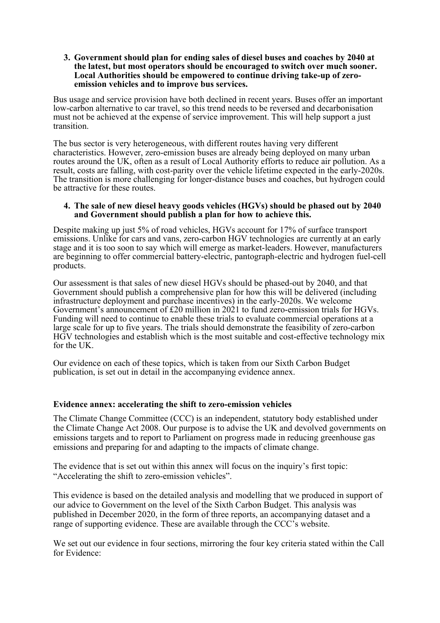#### **3. Government should plan for ending sales of diesel buses and coaches by 2040 at the latest, but most operators should be encouraged to switch over much sooner. Local Authorities should be empowered to continue driving take-up of zeroemission vehicles and to improve bus services.**

Bus usage and service provision have both declined in recent years. Buses offer an important low-carbon alternative to car travel, so this trend needs to be reversed and decarbonisation must not be achieved at the expense of service improvement. This will help support a just transition.

The bus sector is very heterogeneous, with different routes having very different characteristics. However, zero-emission buses are already being deployed on many urban routes around the UK, often as a result of Local Authority efforts to reduce air pollution. As a result, costs are falling, with cost-parity over the vehicle lifetime expected in the early-2020s. The transition is more challenging for longer-distance buses and coaches, but hydrogen could be attractive for these routes.

#### **4. The sale of new diesel heavy goods vehicles (HGVs) should be phased out by 2040 and Government should publish a plan for how to achieve this.**

Despite making up just 5% of road vehicles, HGVs account for 17% of surface transport emissions. Unlike for cars and vans, zero-carbon HGV technologies are currently at an early stage and it is too soon to say which will emerge as market-leaders. However, manufacturers are beginning to offer commercial battery-electric, pantograph-electric and hydrogen fuel-cell products.

Our assessment is that sales of new diesel HGVs should be phased-out by 2040, and that Government should publish a comprehensive plan for how this will be delivered (including infrastructure deployment and purchase incentives) in the early-2020s. We welcome Government's announcement of £20 million in 2021 to fund zero-emission trials for HGVs. Funding will need to continue to enable these trials to evaluate commercial operations at a large scale for up to five years. The trials should demonstrate the feasibility of zero-carbon HGV technologies and establish which is the most suitable and cost-effective technology mix for the UK.

Our evidence on each of these topics, which is taken from our Sixth Carbon Budget publication, is set out in detail in the accompanying evidence annex.

## **Evidence annex: accelerating the shift to zero-emission vehicles**

The Climate Change Committee (CCC) is an independent, statutory body established under the Climate Change Act 2008. Our purpose is to advise the UK and devolved governments on emissions targets and to report to Parliament on progress made in reducing greenhouse gas emissions and preparing for and adapting to the impacts of climate change.

The evidence that is set out within this annex will focus on the inquiry's first topic: "Accelerating the shift to zero-emission vehicles".

This evidence is based on the detailed analysis and modelling that we produced in support of our advice to Government on the level of the Sixth Carbon Budget. This analysis was published in December 2020, in the form of three reports, an accompanying dataset and a range of supporting evidence. These are available through the CCC's website.

We set out our evidence in four sections, mirroring the four key criteria stated within the Call for Evidence: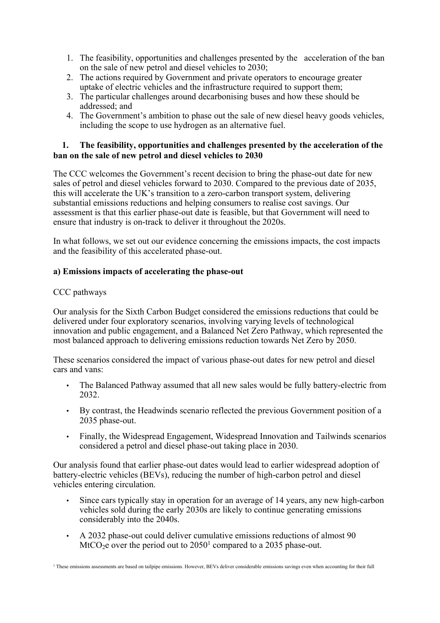- 1. The feasibility, opportunities and challenges presented by the acceleration of the ban on the sale of new petrol and diesel vehicles to 2030;
- 2. The actions required by Government and private operators to encourage greater uptake of electric vehicles and the infrastructure required to support them;
- 3. The particular challenges around decarbonising buses and how these should be addressed; and
- 4. The Government's ambition to phase out the sale of new diesel heavy goods vehicles, including the scope to use hydrogen as an alternative fuel.

# **1. The feasibility, opportunities and challenges presented by the acceleration of the ban on the sale of new petrol and diesel vehicles to 2030**

The CCC welcomes the Government's recent decision to bring the phase-out date for new sales of petrol and diesel vehicles forward to 2030. Compared to the previous date of 2035, this will accelerate the UK's transition to a zero-carbon transport system, delivering substantial emissions reductions and helping consumers to realise cost savings. Our assessment is that this earlier phase-out date is feasible, but that Government will need to ensure that industry is on-track to deliver it throughout the 2020s.

In what follows, we set out our evidence concerning the emissions impacts, the cost impacts and the feasibility of this accelerated phase-out.

# **a) Emissions impacts of accelerating the phase-out**

# CCC pathways

Our analysis for the Sixth Carbon Budget considered the emissions reductions that could be delivered under four exploratory scenarios, involving varying levels of technological innovation and public engagement, and a Balanced Net Zero Pathway, which represented the most balanced approach to delivering emissions reduction towards Net Zero by 2050.

These scenarios considered the impact of various phase-out dates for new petrol and diesel cars and vans:

- The Balanced Pathway assumed that all new sales would be fully battery-electric from 2032.
- By contrast, the Headwinds scenario reflected the previous Government position of a 2035 phase-out.
- Finally, the Widespread Engagement, Widespread Innovation and Tailwinds scenarios considered a petrol and diesel phase-out taking place in 2030.

Our analysis found that earlier phase-out dates would lead to earlier widespread adoption of battery-electric vehicles (BEVs), reducing the number of high-carbon petrol and diesel vehicles entering circulation.

- Since cars typically stay in operation for an average of 14 years, any new high-carbon vehicles sold during the early 2030s are likely to continue generating emissions considerably into the 2040s.
- A 2032 phase-out could deliver cumulative emissions reductions of almost 90  $MtCO<sub>2</sub>e$  over the period out to 2050<sup>1</sup> compared to a 2035 phase-out.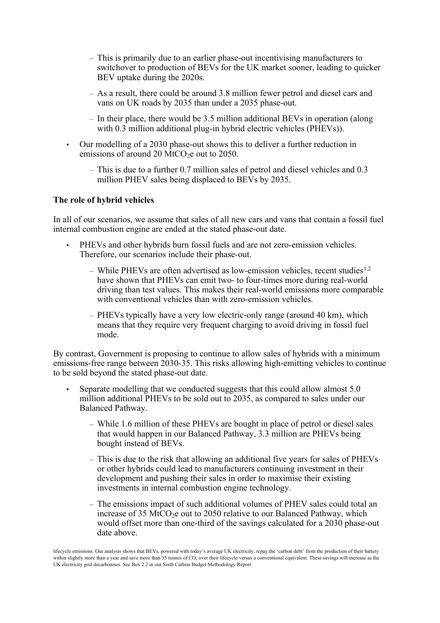- This is primarily due to an earlier phase-out incentivising manufacturers to switchover to production of BEVs for the UK market sooner, leading to quicker BEV uptake during the 2020s.
- As a result, there could be around 3.8 million fewer petrol and diesel cars and vans on UK roads by 2035 than under a 2035 phase-out.
- In their place, there would be 3.5 million additional BEVs in operation (along with  $0.3$  million additional plug-in hybrid electric vehicles (PHEVs)).
- Our modelling of a 2030 phase-out shows this to deliver a further reduction in emissions of around 20 MtCO<sub>2</sub>e out to 2050.
	- This is due to a further 0.7 million sales of petrol and diesel vehicles and 0.3 million PHEV sales being displaced to BEVs by 2035.

#### **The role of hybrid vehicles**

In all of our scenarios, we assume that sales of all new cars and vans that contain a fossil fuel internal combustion engine are ended at the stated phase-out date.

- PHEVs and other hybrids burn fossil fuels and are not zero-emission vehicles. Therefore, our scenarios include their phase-out.
	- While PHEVs are often advertised as low-emission vehicles, recent studies1,2 have shown that PHEVs can emit two- to four-times more during real-world driving than test values. This makes their real-world emissions more comparable with conventional vehicles than with zero-emission vehicles.
	- PHEVs typically have a very low electric-only range (around 40 km), which means that they require very frequent charging to avoid driving in fossil fuel mode.

By contrast, Government is proposing to continue to allow sales of hybrids with a minimum emissions-free range between 2030-35. This risks allowing high-emitting vehicles to continue to be sold beyond the stated phase-out date.

- Separate modelling that we conducted suggests that this could allow almost 5.0 million additional PHEVs to be sold out to 2035, as compared to sales under our Balanced Pathway.
	- While 1.6 million of these PHEVs are bought in place of petrol or diesel sales that would happen in our Balanced Pathway, 3.3 million are PHEVs being bought instead of BEVs.
	- This is due to the risk that allowing an additional five years for sales of PHEVs or other hybrids could lead to manufacturers continuing investment in their development and pushing their sales in order to maximise their existing investments in internal combustion engine technology.
	- The emissions impact of such additional volumes of PHEV sales could total an increase of 35 MtCO<sub>2</sub>e out to 2050 relative to our Balanced Pathway, which would offset more than one-third of the savings calculated for a 2030 phase-out date above.

lifecycle emissions. Our analysis shows that BEVs, powered with today's average UK electricity, repay the 'carbon debt' from the production of their battery within slightly more than a year and save more than 35 tonnes of CO<sub>2</sub> over their lifecycle versus a conventional equivalent. These savings will increase as the UK electricity grid decarbonises. See Box 2.2 in our Sixth Carbon Budget Methodology Report.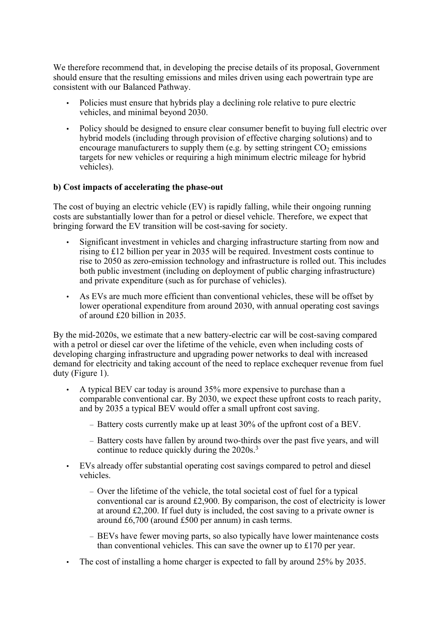We therefore recommend that, in developing the precise details of its proposal, Government should ensure that the resulting emissions and miles driven using each powertrain type are consistent with our Balanced Pathway.

- Policies must ensure that hybrids play a declining role relative to pure electric vehicles, and minimal beyond 2030.
- Policy should be designed to ensure clear consumer benefit to buying full electric over hybrid models (including through provision of effective charging solutions) and to encourage manufacturers to supply them (e.g. by setting stringent  $CO<sub>2</sub>$  emissions targets for new vehicles or requiring a high minimum electric mileage for hybrid vehicles).

## **b) Cost impacts of accelerating the phase-out**

The cost of buying an electric vehicle (EV) is rapidly falling, while their ongoing running costs are substantially lower than for a petrol or diesel vehicle. Therefore, we expect that bringing forward the EV transition will be cost-saving for society.

- Significant investment in vehicles and charging infrastructure starting from now and rising to £12 billion per year in 2035 will be required. Investment costs continue to rise to 2050 as zero-emission technology and infrastructure is rolled out. This includes both public investment (including on deployment of public charging infrastructure) and private expenditure (such as for purchase of vehicles).
- As EVs are much more efficient than conventional vehicles, these will be offset by lower operational expenditure from around 2030, with annual operating cost savings of around £20 billion in 2035.

By the mid-2020s, we estimate that a new battery-electric car will be cost-saving compared with a petrol or diesel car over the lifetime of the vehicle, even when including costs of developing charging infrastructure and upgrading power networks to deal with increased demand for electricity and taking account of the need to replace exchequer revenue from fuel duty (Figure 1).

- A typical BEV car today is around 35% more expensive to purchase than a comparable conventional car. By 2030, we expect these upfront costs to reach parity, and by 2035 a typical BEV would offer a small upfront cost saving.
	- Battery costs currently make up at least 30% of the upfront cost of a BEV.
	- Battery costs have fallen by around two-thirds over the past five years, and will continue to reduce quickly during the 2020s.<sup>3</sup>
- EVs already offer substantial operating cost savings compared to petrol and diesel vehicles.
	- Over the lifetime of the vehicle, the total societal cost of fuel for a typical conventional car is around £2,900. By comparison, the cost of electricity is lower at around £2,200. If fuel duty is included, the cost saving to a private owner is around £6,700 (around £500 per annum) in cash terms.
	- BEVs have fewer moving parts, so also typically have lower maintenance costs than conventional vehicles. This can save the owner up to £170 per year.
- The cost of installing a home charger is expected to fall by around 25% by 2035.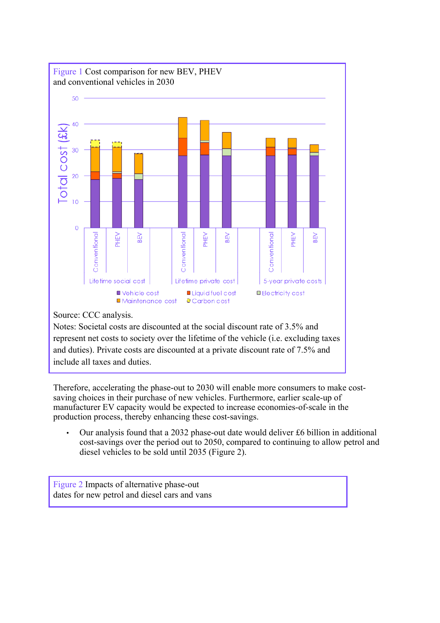

represent net costs to society over the lifetime of the vehicle (i.e. excluding taxes and duties). Private costs are discounted at a private discount rate of 7.5% and include all taxes and duties.

Therefore, accelerating the phase-out to 2030 will enable more consumers to make costsaving choices in their purchase of new vehicles. Furthermore, earlier scale-up of manufacturer EV capacity would be expected to increase economies-of-scale in the production process, thereby enhancing these cost-savings.

• Our analysis found that a 2032 phase-out date would deliver £6 billion in additional cost-savings over the period out to 2050, compared to continuing to allow petrol and diesel vehicles to be sold until 2035 (Figure 2).

Figure 2 Impacts of alternative phase-out dates for new petrol and diesel cars and vans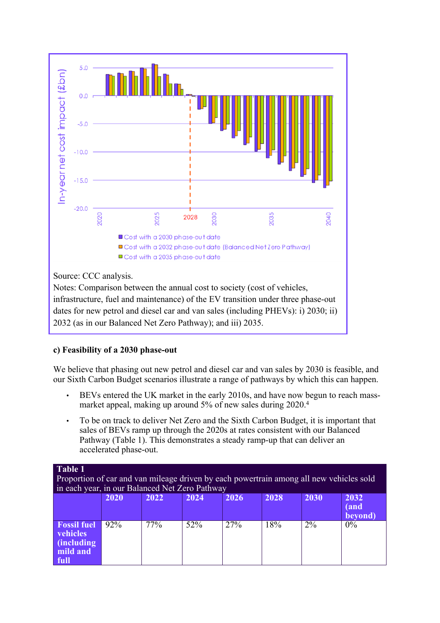

Notes: Comparison between the annual cost to society (cost of vehicles, infrastructure, fuel and maintenance) of the EV transition under three phase-out dates for new petrol and diesel car and van sales (including PHEVs): i) 2030; ii) 2032 (as in our Balanced Net Zero Pathway); and iii) 2035.

# **c) Feasibility of a 2030 phase-out**

We believe that phasing out new petrol and diesel car and van sales by 2030 is feasible, and our Sixth Carbon Budget scenarios illustrate a range of pathways by which this can happen.

- BEVs entered the UK market in the early 2010s, and have now begun to reach massmarket appeal, making up around 5% of new sales during 2020.<sup>4</sup>
- To be on track to deliver Net Zero and the Sixth Carbon Budget, it is important that sales of BEVs ramp up through the 2020s at rates consistent with our Balanced Pathway (Table 1). This demonstrates a steady ramp-up that can deliver an accelerated phase-out.

**Table 1**

Proportion of car and van mileage driven by each powertrain among all new vehicles sold in each year, in our Balanced Net Zero Pathway

|                                                                  | 2020 | 2022                       | 2024 | 2026 | 2028 | 2030 | 2032<br>(and<br>beyond) |
|------------------------------------------------------------------|------|----------------------------|------|------|------|------|-------------------------|
| <b>Fossil fuel</b><br>vehicles<br>(including<br>mild and<br>full | 92%  | $77\overline{\frac{6}{6}}$ | 52%  | 27%  | 18%  | 2%   | 0%                      |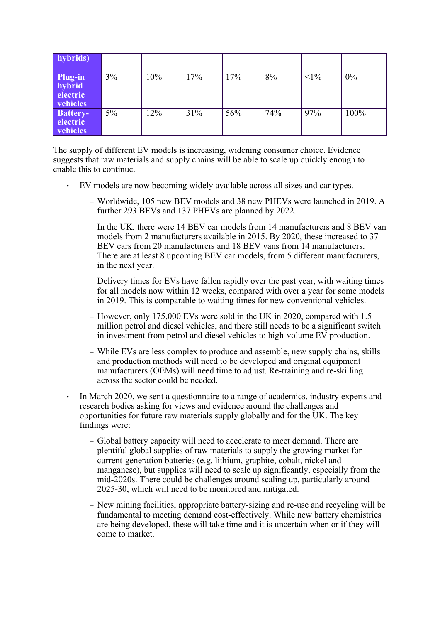| hybrids)                                  |    |                   |     |     |     |        |      |
|-------------------------------------------|----|-------------------|-----|-----|-----|--------|------|
| Plug-in<br>hybrid<br>electric<br>vehicles | 3% | $\overline{10\%}$ | 17% | 17% | 8%  | $<1\%$ | 0%   |
| <b>Battery-</b><br>electric<br>vehicles   | 5% | 12%               | 31% | 56% | 74% | 97%    | 100% |

The supply of different EV models is increasing, widening consumer choice. Evidence suggests that raw materials and supply chains will be able to scale up quickly enough to enable this to continue.

- EV models are now becoming widely available across all sizes and car types.
	- Worldwide, 105 new BEV models and 38 new PHEVs were launched in 2019. A further 293 BEVs and 137 PHEVs are planned by 2022.
	- In the UK, there were 14 BEV car models from 14 manufacturers and 8 BEV van models from 2 manufacturers available in 2015. By 2020, these increased to 37 BEV cars from 20 manufacturers and 18 BEV vans from 14 manufacturers. There are at least 8 upcoming BEV car models, from 5 different manufacturers, in the next year.
	- Delivery times for EVs have fallen rapidly over the past year, with waiting times for all models now within 12 weeks, compared with over a year for some models in 2019. This is comparable to waiting times for new conventional vehicles.
	- However, only 175,000 EVs were sold in the UK in 2020, compared with 1.5 million petrol and diesel vehicles, and there still needs to be a significant switch in investment from petrol and diesel vehicles to high-volume EV production.
	- While EVs are less complex to produce and assemble, new supply chains, skills and production methods will need to be developed and original equipment manufacturers (OEMs) will need time to adjust. Re-training and re-skilling across the sector could be needed.
- In March 2020, we sent a questionnaire to a range of academics, industry experts and research bodies asking for views and evidence around the challenges and opportunities for future raw materials supply globally and for the UK. The key findings were:
	- Global battery capacity will need to accelerate to meet demand. There are plentiful global supplies of raw materials to supply the growing market for current-generation batteries (e.g. lithium, graphite, cobalt, nickel and manganese), but supplies will need to scale up significantly, especially from the mid-2020s. There could be challenges around scaling up, particularly around 2025-30, which will need to be monitored and mitigated.
	- New mining facilities, appropriate battery-sizing and re-use and recycling will be fundamental to meeting demand cost-effectively. While new battery chemistries are being developed, these will take time and it is uncertain when or if they will come to market.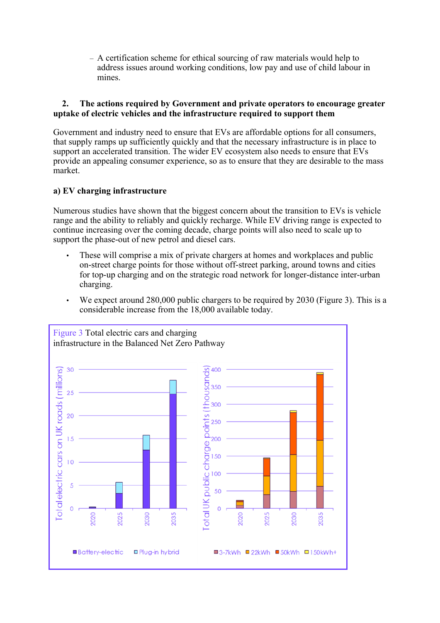– A certification scheme for ethical sourcing of raw materials would help to address issues around working conditions, low pay and use of child labour in mines.

# **2. The actions required by Government and private operators to encourage greater uptake of electric vehicles and the infrastructure required to support them**

Government and industry need to ensure that EVs are affordable options for all consumers, that supply ramps up sufficiently quickly and that the necessary infrastructure is in place to support an accelerated transition. The wider EV ecosystem also needs to ensure that EVs provide an appealing consumer experience, so as to ensure that they are desirable to the mass market.

# **a) EV charging infrastructure**

Numerous studies have shown that the biggest concern about the transition to EVs is vehicle range and the ability to reliably and quickly recharge. While EV driving range is expected to continue increasing over the coming decade, charge points will also need to scale up to support the phase-out of new petrol and diesel cars.

- These will comprise a mix of private chargers at homes and workplaces and public on-street charge points for those without off-street parking, around towns and cities for top-up charging and on the strategic road network for longer-distance inter-urban charging.
- We expect around 280,000 public chargers to be required by 2030 (Figure 3). This is a considerable increase from the 18,000 available today.

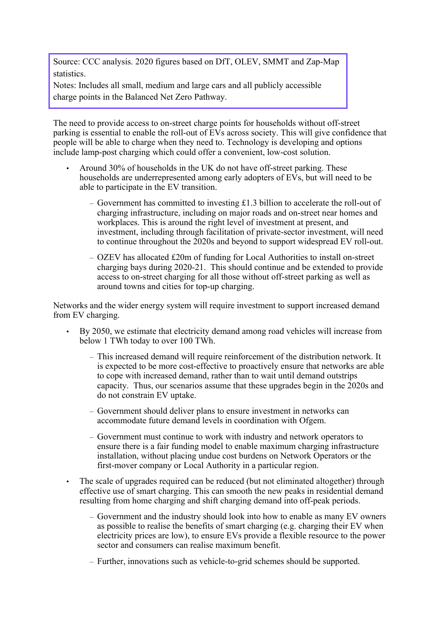Source: CCC analysis. 2020 figures based on DfT, OLEV, SMMT and Zap-Map statistics.

Notes: Includes all small, medium and large cars and all publicly accessible charge points in the Balanced Net Zero Pathway.

The need to provide access to on-street charge points for households without off-street parking is essential to enable the roll-out of EVs across society. This will give confidence that people will be able to charge when they need to. Technology is developing and options include lamp-post charging which could offer a convenient, low-cost solution.

- Around 30% of households in the UK do not have off-street parking. These households are underrepresented among early adopters of EVs, but will need to be able to participate in the EV transition.
	- Government has committed to investing £1.3 billion to accelerate the roll-out of charging infrastructure, including on major roads and on-street near homes and workplaces. This is around the right level of investment at present, and investment, including through facilitation of private-sector investment, will need to continue throughout the 2020s and beyond to support widespread EV roll-out.
	- OZEV has allocated £20m of funding for Local Authorities to install on-street charging bays during 2020-21. This should continue and be extended to provide access to on-street charging for all those without off-street parking as well as around towns and cities for top-up charging.

Networks and the wider energy system will require investment to support increased demand from EV charging.

- By 2050, we estimate that electricity demand among road vehicles will increase from below 1 TWh today to over 100 TWh.
	- This increased demand will require reinforcement of the distribution network. It is expected to be more cost-effective to proactively ensure that networks are able to cope with increased demand, rather than to wait until demand outstrips capacity. Thus, our scenarios assume that these upgrades begin in the 2020s and do not constrain EV uptake.
	- Government should deliver plans to ensure investment in networks can accommodate future demand levels in coordination with Ofgem.
	- Government must continue to work with industry and network operators to ensure there is a fair funding model to enable maximum charging infrastructure installation, without placing undue cost burdens on Network Operators or the first-mover company or Local Authority in a particular region.
- The scale of upgrades required can be reduced (but not eliminated altogether) through effective use of smart charging. This can smooth the new peaks in residential demand resulting from home charging and shift charging demand into off-peak periods.
	- Government and the industry should look into how to enable as many EV owners as possible to realise the benefits of smart charging (e.g. charging their EV when electricity prices are low), to ensure EVs provide a flexible resource to the power sector and consumers can realise maximum benefit.
	- Further, innovations such as vehicle-to-grid schemes should be supported.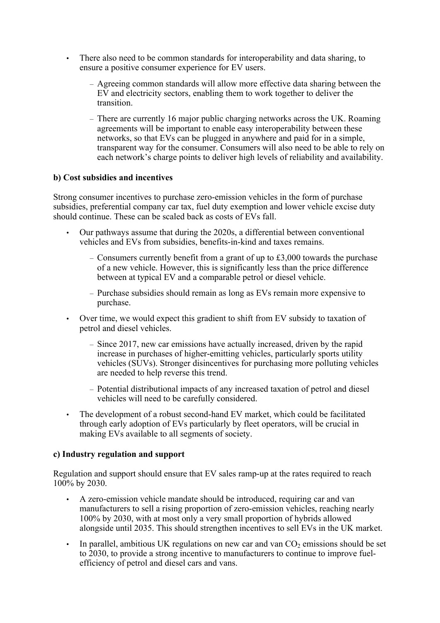- There also need to be common standards for interoperability and data sharing, to ensure a positive consumer experience for EV users.
	- Agreeing common standards will allow more effective data sharing between the EV and electricity sectors, enabling them to work together to deliver the transition.
	- There are currently 16 major public charging networks across the UK. Roaming agreements will be important to enable easy interoperability between these networks, so that EVs can be plugged in anywhere and paid for in a simple, transparent way for the consumer. Consumers will also need to be able to rely on each network's charge points to deliver high levels of reliability and availability.

## **b) Cost subsidies and incentives**

Strong consumer incentives to purchase zero-emission vehicles in the form of purchase subsidies, preferential company car tax, fuel duty exemption and lower vehicle excise duty should continue. These can be scaled back as costs of EVs fall.

- Our pathways assume that during the 2020s, a differential between conventional vehicles and EVs from subsidies, benefits-in-kind and taxes remains.
	- Consumers currently benefit from a grant of up to  $\text{\pounds}3,000$  towards the purchase of a new vehicle. However, this is significantly less than the price difference between at typical EV and a comparable petrol or diesel vehicle.
	- Purchase subsidies should remain as long as EVs remain more expensive to purchase.
- Over time, we would expect this gradient to shift from EV subsidy to taxation of petrol and diesel vehicles.
	- Since 2017, new car emissions have actually increased, driven by the rapid increase in purchases of higher-emitting vehicles, particularly sports utility vehicles (SUVs). Stronger disincentives for purchasing more polluting vehicles are needed to help reverse this trend.
	- Potential distributional impacts of any increased taxation of petrol and diesel vehicles will need to be carefully considered.
- The development of a robust second-hand EV market, which could be facilitated through early adoption of EVs particularly by fleet operators, will be crucial in making EVs available to all segments of society.

## **c) Industry regulation and support**

Regulation and support should ensure that EV sales ramp-up at the rates required to reach 100% by 2030.

- A zero-emission vehicle mandate should be introduced, requiring car and van manufacturers to sell a rising proportion of zero-emission vehicles, reaching nearly 100% by 2030, with at most only a very small proportion of hybrids allowed alongside until 2035. This should strengthen incentives to sell EVs in the UK market.
- In parallel, ambitious UK regulations on new car and van  $CO<sub>2</sub>$  emissions should be set to 2030, to provide a strong incentive to manufacturers to continue to improve fuelefficiency of petrol and diesel cars and vans.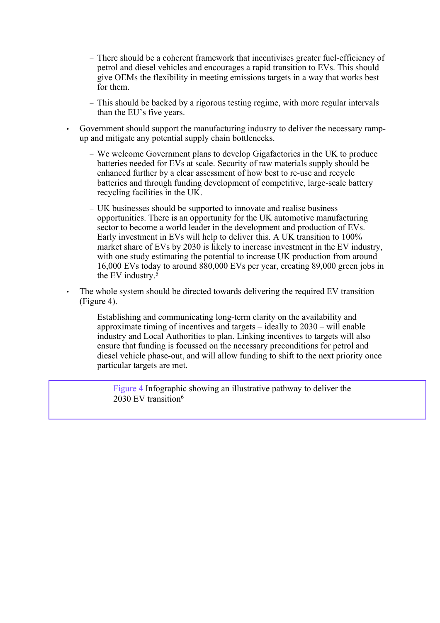- There should be a coherent framework that incentivises greater fuel-efficiency of petrol and diesel vehicles and encourages a rapid transition to EVs. This should give OEMs the flexibility in meeting emissions targets in a way that works best for them.
- This should be backed by a rigorous testing regime, with more regular intervals than the EU's five years.
- Government should support the manufacturing industry to deliver the necessary rampup and mitigate any potential supply chain bottlenecks.
	- We welcome Government plans to develop Gigafactories in the UK to produce batteries needed for EVs at scale. Security of raw materials supply should be enhanced further by a clear assessment of how best to re-use and recycle batteries and through funding development of competitive, large-scale battery recycling facilities in the UK.
	- UK businesses should be supported to innovate and realise business opportunities. There is an opportunity for the UK automotive manufacturing sector to become a world leader in the development and production of EVs. Early investment in EVs will help to deliver this. A UK transition to 100% market share of EVs by 2030 is likely to increase investment in the EV industry, with one study estimating the potential to increase UK production from around 16,000 EVs today to around 880,000 EVs per year, creating 89,000 green jobs in the EV industry.<sup>5</sup>
	- The whole system should be directed towards delivering the required EV transition (Figure 4).
		- Establishing and communicating long-term clarity on the availability and approximate timing of incentives and targets – ideally to 2030 – will enable industry and Local Authorities to plan. Linking incentives to targets will also ensure that funding is focussed on the necessary preconditions for petrol and diesel vehicle phase-out, and will allow funding to shift to the next priority once particular targets are met.

Figure 4 Infographic showing an illustrative pathway to deliver the 2030 EV transition<sup>6</sup>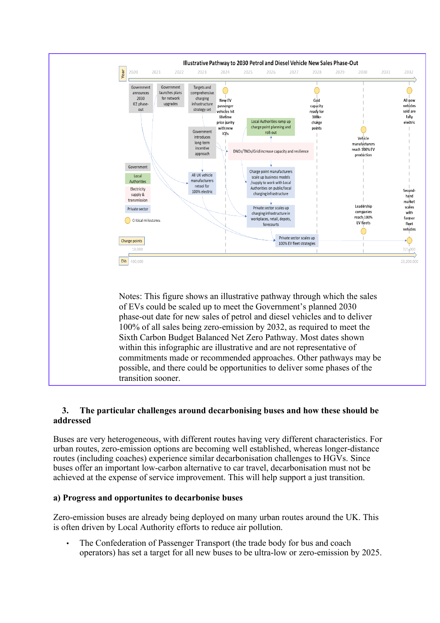

# **3. The particular challenges around decarbonising buses and how these should be addressed**

Buses are very heterogeneous, with different routes having very different characteristics. For urban routes, zero-emission options are becoming well established, whereas longer-distance routes (including coaches) experience similar decarbonisation challenges to HGVs. Since buses offer an important low-carbon alternative to car travel, decarbonisation must not be achieved at the expense of service improvement. This will help support a just transition.

# **a) Progress and opportunites to decarbonise buses**

Zero-emission buses are already being deployed on many urban routes around the UK. This is often driven by Local Authority efforts to reduce air pollution.

• The Confederation of Passenger Transport (the trade body for bus and coach operators) has set a target for all new buses to be ultra-low or zero-emission by 2025.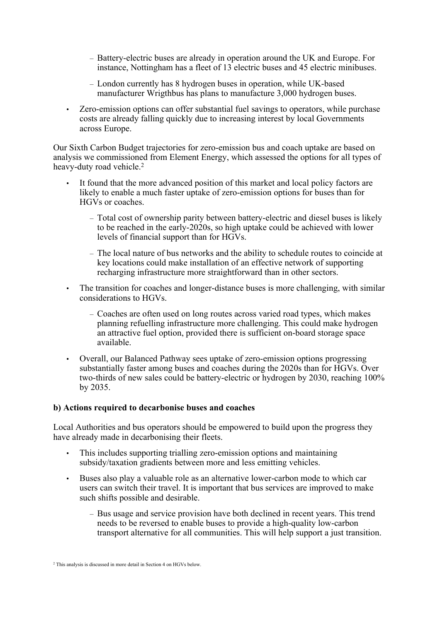- Battery-electric buses are already in operation around the UK and Europe. For instance, Nottingham has a fleet of 13 electric buses and 45 electric minibuses.
- London currently has 8 hydrogen buses in operation, while UK-based manufacturer Wrigthbus has plans to manufacture 3,000 hydrogen buses.
- Zero-emission options can offer substantial fuel savings to operators, while purchase costs are already falling quickly due to increasing interest by local Governments across Europe.

Our Sixth Carbon Budget trajectories for zero-emission bus and coach uptake are based on analysis we commissioned from Element Energy, which assessed the options for all types of heavy-duty road vehicle.<sup>2</sup>

- It found that the more advanced position of this market and local policy factors are likely to enable a much faster uptake of zero-emission options for buses than for HGVs or coaches.
	- Total cost of ownership parity between battery-electric and diesel buses is likely to be reached in the early-2020s, so high uptake could be achieved with lower levels of financial support than for HGVs.
	- The local nature of bus networks and the ability to schedule routes to coincide at key locations could make installation of an effective network of supporting recharging infrastructure more straightforward than in other sectors.
- The transition for coaches and longer-distance buses is more challenging, with similar considerations to HGVs.
	- Coaches are often used on long routes across varied road types, which makes planning refuelling infrastructure more challenging. This could make hydrogen an attractive fuel option, provided there is sufficient on-board storage space available.
- Overall, our Balanced Pathway sees uptake of zero-emission options progressing substantially faster among buses and coaches during the 2020s than for HGVs. Over two-thirds of new sales could be battery-electric or hydrogen by 2030, reaching 100% by 2035.

## **b) Actions required to decarbonise buses and coaches**

Local Authorities and bus operators should be empowered to build upon the progress they have already made in decarbonising their fleets.

- This includes supporting trialling zero-emission options and maintaining subsidy/taxation gradients between more and less emitting vehicles.
- Buses also play a valuable role as an alternative lower-carbon mode to which car users can switch their travel. It is important that bus services are improved to make such shifts possible and desirable.
	- Bus usage and service provision have both declined in recent years. This trend needs to be reversed to enable buses to provide a high-quality low-carbon transport alternative for all communities. This will help support a just transition.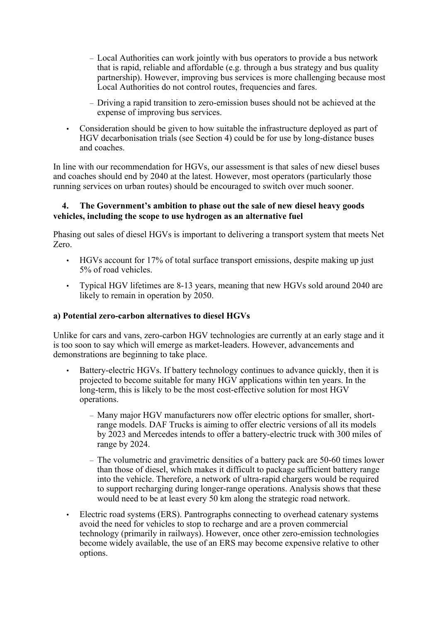- Local Authorities can work jointly with bus operators to provide a bus network that is rapid, reliable and affordable (e.g. through a bus strategy and bus quality partnership). However, improving bus services is more challenging because most Local Authorities do not control routes, frequencies and fares.
- Driving a rapid transition to zero-emission buses should not be achieved at the expense of improving bus services.
- Consideration should be given to how suitable the infrastructure deployed as part of HGV decarbonisation trials (see Section 4) could be for use by long-distance buses and coaches.

In line with our recommendation for HGVs, our assessment is that sales of new diesel buses and coaches should end by 2040 at the latest. However, most operators (particularly those running services on urban routes) should be encouraged to switch over much sooner.

# **4. The Government's ambition to phase out the sale of new diesel heavy goods vehicles, including the scope to use hydrogen as an alternative fuel**

Phasing out sales of diesel HGVs is important to delivering a transport system that meets Net Zero.

- HGVs account for 17% of total surface transport emissions, despite making up just 5% of road vehicles.
- Typical HGV lifetimes are 8-13 years, meaning that new HGVs sold around 2040 are likely to remain in operation by 2050.

# **a) Potential zero-carbon alternatives to diesel HGVs**

Unlike for cars and vans, zero-carbon HGV technologies are currently at an early stage and it is too soon to say which will emerge as market-leaders. However, advancements and demonstrations are beginning to take place.

- Battery-electric HGVs. If battery technology continues to advance quickly, then it is projected to become suitable for many HGV applications within ten years. In the long-term, this is likely to be the most cost-effective solution for most HGV operations.
	- Many major HGV manufacturers now offer electric options for smaller, shortrange models. DAF Trucks is aiming to offer electric versions of all its models by 2023 and Mercedes intends to offer a battery-electric truck with 300 miles of range by 2024.
	- The volumetric and gravimetric densities of a battery pack are 50-60 times lower than those of diesel, which makes it difficult to package sufficient battery range into the vehicle. Therefore, a network of ultra-rapid chargers would be required to support recharging during longer-range operations. Analysis shows that these would need to be at least every 50 km along the strategic road network.
- Electric road systems (ERS). Pantrographs connecting to overhead catenary systems avoid the need for vehicles to stop to recharge and are a proven commercial technology (primarily in railways). However, once other zero-emission technologies become widely available, the use of an ERS may become expensive relative to other options.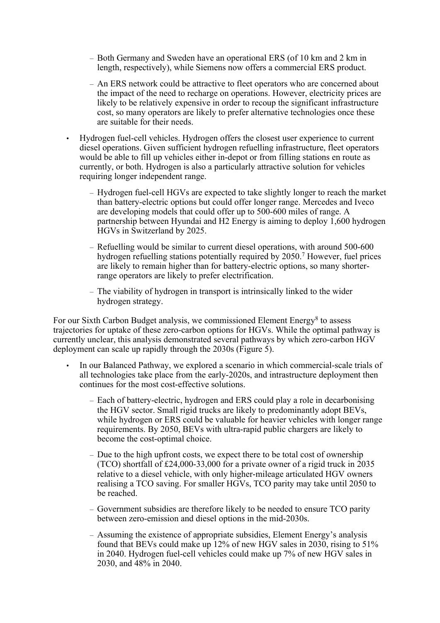- Both Germany and Sweden have an operational ERS (of 10 km and 2 km in length, respectively), while Siemens now offers a commercial ERS product.
- An ERS network could be attractive to fleet operators who are concerned about the impact of the need to recharge on operations. However, electricity prices are likely to be relatively expensive in order to recoup the significant infrastructure cost, so many operators are likely to prefer alternative technologies once these are suitable for their needs.
- Hydrogen fuel-cell vehicles. Hydrogen offers the closest user experience to current diesel operations. Given sufficient hydrogen refuelling infrastructure, fleet operators would be able to fill up vehicles either in-depot or from filling stations en route as currently, or both. Hydrogen is also a particularly attractive solution for vehicles requiring longer independent range.
	- Hydrogen fuel-cell HGVs are expected to take slightly longer to reach the market than battery-electric options but could offer longer range. Mercedes and Iveco are developing models that could offer up to 500-600 miles of range. A partnership between Hyundai and H2 Energy is aiming to deploy 1,600 hydrogen HGVs in Switzerland by 2025.
	- Refuelling would be similar to current diesel operations, with around 500-600 hydrogen refuelling stations potentially required by 2050.<sup>7</sup> However, fuel prices are likely to remain higher than for battery-electric options, so many shorterrange operators are likely to prefer electrification.
	- The viability of hydrogen in transport is intrinsically linked to the wider hydrogen strategy.

For our Sixth Carbon Budget analysis, we commissioned Element Energy<sup>8</sup> to assess trajectories for uptake of these zero-carbon options for HGVs. While the optimal pathway is currently unclear, this analysis demonstrated several pathways by which zero-carbon HGV deployment can scale up rapidly through the 2030s (Figure 5).

- In our Balanced Pathway, we explored a scenario in which commercial-scale trials of all technologies take place from the early-2020s, and intrastructure deployment then continues for the most cost-effective solutions.
	- Each of battery-electric, hydrogen and ERS could play a role in decarbonising the HGV sector. Small rigid trucks are likely to predominantly adopt BEVs, while hydrogen or ERS could be valuable for heavier vehicles with longer range requirements. By 2050, BEVs with ultra-rapid public chargers are likely to become the cost-optimal choice.
	- Due to the high upfront costs, we expect there to be total cost of ownership (TCO) shortfall of £24,000-33,000 for a private owner of a rigid truck in 2035 relative to a diesel vehicle, with only higher-mileage articulated HGV owners realising a TCO saving. For smaller HGVs, TCO parity may take until 2050 to be reached.
	- Government subsidies are therefore likely to be needed to ensure TCO parity between zero-emission and diesel options in the mid-2030s.
	- Assuming the existence of appropriate subsidies, Element Energy's analysis found that BEVs could make up 12% of new HGV sales in 2030, rising to 51% in 2040. Hydrogen fuel-cell vehicles could make up 7% of new HGV sales in 2030, and 48% in 2040.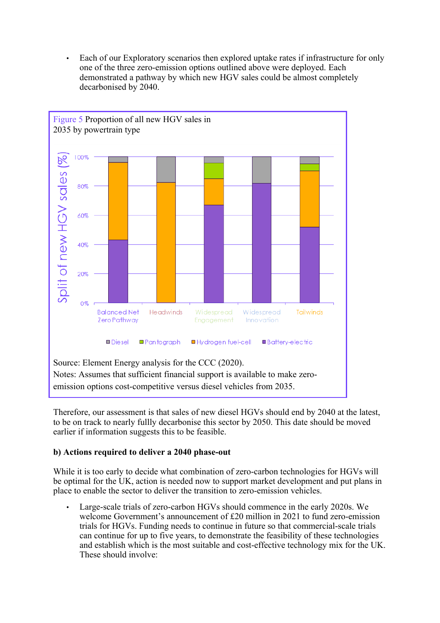• Each of our Exploratory scenarios then explored uptake rates if infrastructure for only one of the three zero-emission options outlined above were deployed. Each demonstrated a pathway by which new HGV sales could be almost completely decarbonised by 2040.



Therefore, our assessment is that sales of new diesel HGVs should end by 2040 at the latest, to be on track to nearly fullly decarbonise this sector by 2050. This date should be moved earlier if information suggests this to be feasible.

# **b) Actions required to deliver a 2040 phase-out**

While it is too early to decide what combination of zero-carbon technologies for HGVs will be optimal for the UK, action is needed now to support market development and put plans in place to enable the sector to deliver the transition to zero-emission vehicles.

• Large-scale trials of zero-carbon HGVs should commence in the early 2020s. We welcome Government's announcement of £20 million in 2021 to fund zero-emission trials for HGVs. Funding needs to continue in future so that commercial-scale trials can continue for up to five years, to demonstrate the feasibility of these technologies and establish which is the most suitable and cost-effective technology mix for the UK. These should involve: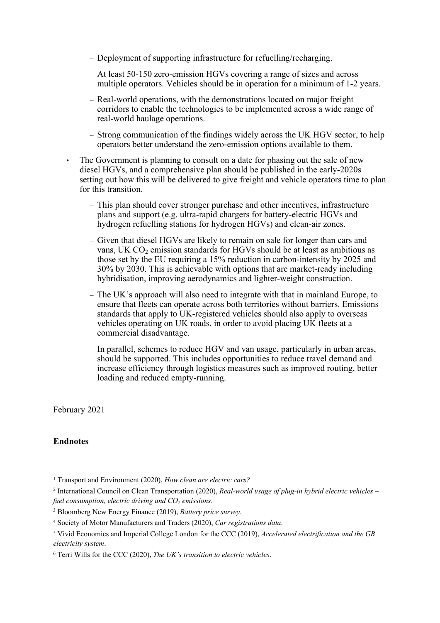- Deployment of supporting infrastructure for refuelling/recharging.
- At least 50-150 zero-emission HGVs covering a range of sizes and across multiple operators. Vehicles should be in operation for a minimum of 1-2 years.
- Real-world operations, with the demonstrations located on major freight corridors to enable the technologies to be implemented across a wide range of real-world haulage operations.
- Strong communication of the findings widely across the UK HGV sector, to help operators better understand the zero-emission options available to them.
- The Government is planning to consult on a date for phasing out the sale of new diesel HGVs, and a comprehensive plan should be published in the early-2020s setting out how this will be delivered to give freight and vehicle operators time to plan for this transition.
	- This plan should cover stronger purchase and other incentives, infrastructure plans and support (e.g. ultra-rapid chargers for battery-electric HGVs and hydrogen refuelling stations for hydrogen HGVs) and clean-air zones.
	- Given that diesel HGVs are likely to remain on sale for longer than cars and vans, UK CO<sub>2</sub> emission standards for HGVs should be at least as ambitious as those set by the EU requiring a 15% reduction in carbon-intensity by 2025 and 30% by 2030. This is achievable with options that are market-ready including hybridisation, improving aerodynamics and lighter-weight construction.
	- The UK's approach will also need to integrate with that in mainland Europe, to ensure that fleets can operate across both territories without barriers. Emissions standards that apply to UK-registered vehicles should also apply to overseas vehicles operating on UK roads, in order to avoid placing UK fleets at a commercial disadvantage.
	- In parallel, schemes to reduce HGV and van usage, particularly in urban areas, should be supported. This includes opportunities to reduce travel demand and increase efficiency through logistics measures such as improved routing, better loading and reduced empty-running.

February 2021

# **Endnotes**

<sup>1</sup> Transport and Environment (2020), *How clean are electric cars?*

<sup>2</sup> International Council on Clean Transportation (2020), *Real-world usage of plug-in hybrid electric vehicles – fuel consumption, electric driving and CO<sup>2</sup> emissions*.

<sup>3</sup> Bloomberg New Energy Finance (2019), *Battery price survey*.

<sup>4</sup> Society of Motor Manufacturers and Traders (2020), *Car registrations data*.

<sup>5</sup> Vivid Economics and Imperial College London for the CCC (2019), *Accelerated electrification and the GB electricity system*.

<sup>6</sup> Terri Wills for the CCC (2020), *The UK's transition to electric vehicles*.